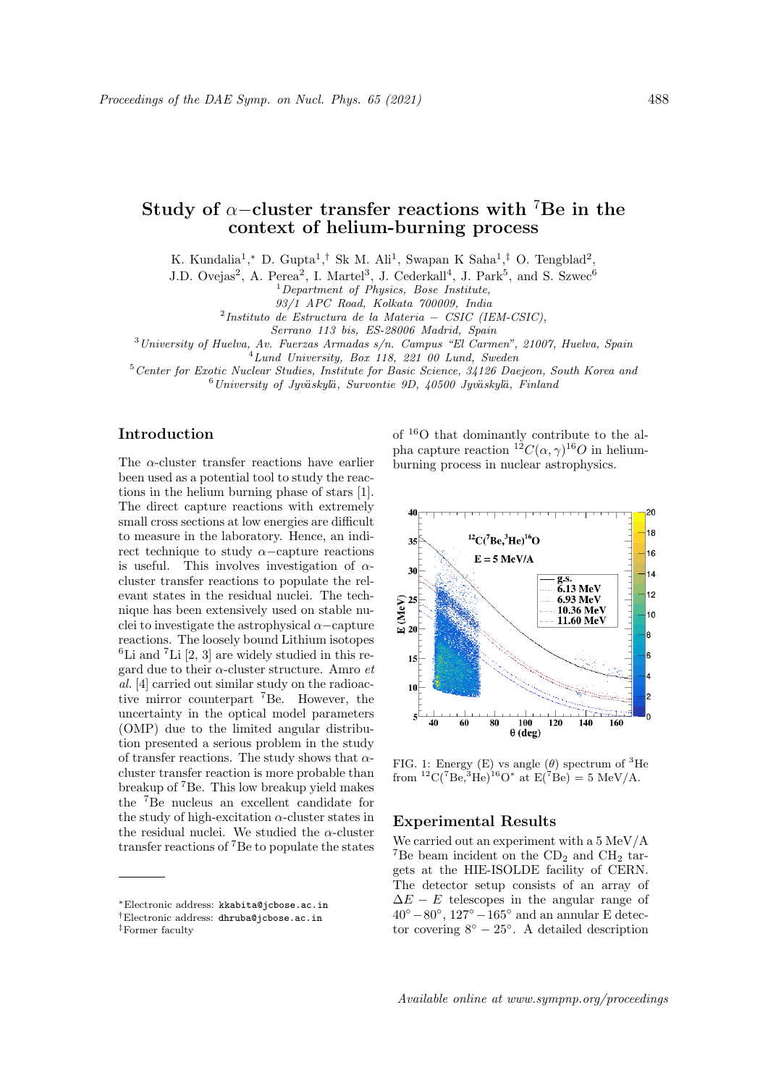# Study of  $\alpha$ –cluster transfer reactions with <sup>7</sup>Be in the context of helium-burning process

K. Kundalia<sup>1</sup>,\* D. Gupta<sup>1</sup>,<sup>†</sup> Sk M. Ali<sup>1</sup>, Swapan K Saha<sup>1</sup>,<sup>‡</sup> O. Tengblad<sup>2</sup>,

J.D. Ovejas<sup>2</sup>, A. Perea<sup>2</sup>, I. Martel<sup>3</sup>, J. Cederkall<sup>4</sup>, J. Park<sup>5</sup>, and S. Szwec<sup>6</sup>

 $1$  Department of Physics, Bose Institute,

93/1 APC Road, Kolkata 700009, India

2 Instituto de Estructura de la Materia − CSIC (IEM-CSIC),

Serrano 113 bis, ES-28006 Madrid, Spain

 $3$ University of Huelva, Av. Fuerzas Armadas s/n. Campus "El Carmen", 21007, Huelva, Spain

<sup>4</sup>Lund University, Box 118, 221 00 Lund, Sweden

<sup>5</sup>Center for Exotic Nuclear Studies, Institute for Basic Science, 34126 Daejeon, South Korea and  $6$ University of Jyväskylä, Survontie 9D, 40500 Jyväskylä, Finland

# Introduction

The  $\alpha$ -cluster transfer reactions have earlier been used as a potential tool to study the reactions in the helium burning phase of stars [1]. The direct capture reactions with extremely small cross sections at low energies are difficult to measure in the laboratory. Hence, an indirect technique to study  $\alpha$ -capture reactions is useful. This involves investigation of  $\alpha$ cluster transfer reactions to populate the relevant states in the residual nuclei. The technique has been extensively used on stable nuclei to investigate the astrophysical  $\alpha$  –capture reactions. The loosely bound Lithium isotopes  ${}^{6}$ Li and  ${}^{7}$ Li [2, 3] are widely studied in this regard due to their  $\alpha$ -cluster structure. Amro  $et$ al. [4] carried out similar study on the radioactive mirror counterpart <sup>7</sup>Be. However, the uncertainty in the optical model parameters (OMP) due to the limited angular distribution presented a serious problem in the study of transfer reactions. The study shows that  $\alpha$ cluster transfer reaction is more probable than breakup of <sup>7</sup>Be. This low breakup yield makes the <sup>7</sup>Be nucleus an excellent candidate for the study of high-excitation  $\alpha$ -cluster states in the residual nuclei. We studied the  $\alpha$ -cluster transfer reactions of <sup>7</sup>Be to populate the states

<sup>∗</sup>Electronic address: kkabita@jcbose.ac.in

of <sup>16</sup>O that dominantly contribute to the alpha capture reaction  ${}^{12}C(\alpha, \gamma) {}^{16}O$  in heliumburning process in nuclear astrophysics.



FIG. 1: Energy (E) vs angle ( $\theta$ ) spectrum of <sup>3</sup>He from  ${}^{12}C({}^{7}Be, {}^{3}He){}^{16}O^*$  at  $E({}^{7}Be) = 5$  MeV/A.

# Experimental Results

We carried out an experiment with a 5 MeV/A <sup>7</sup>Be beam incident on the  $CD<sub>2</sub>$  and  $CH<sub>2</sub>$  targets at the HIE-ISOLDE facility of CERN. The detector setup consists of an array of  $\Delta E - E$  telescopes in the angular range of  $40°-80°$ ,  $127°-165°$  and an annular E detector covering  $8° - 25°$ . A detailed description

<sup>†</sup>Electronic address: dhruba@jcbose.ac.in

<sup>‡</sup>Former faculty